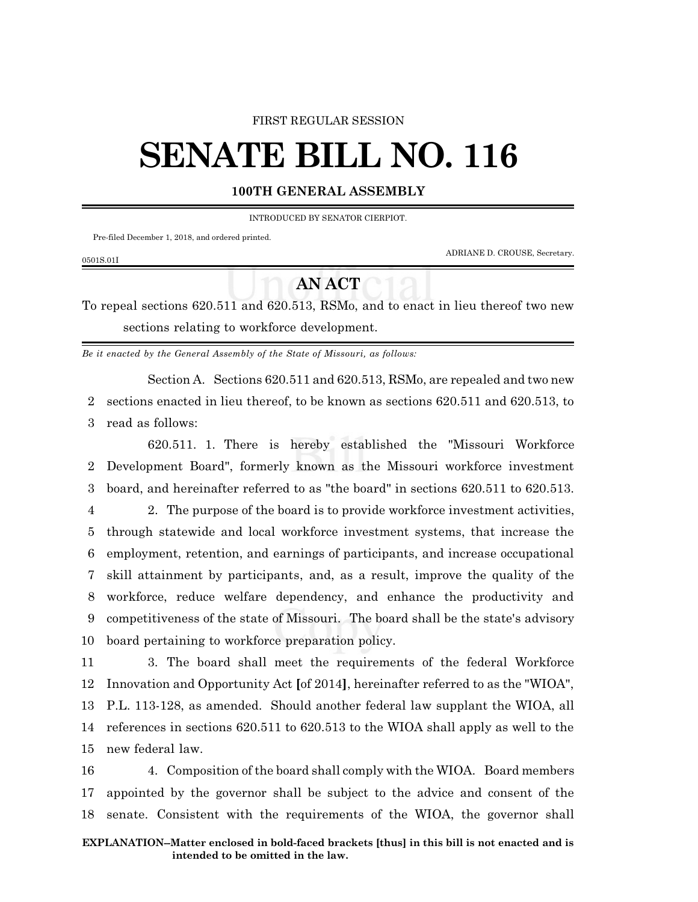#### FIRST REGULAR SESSION

# **SENATE BILL NO. 116**

### **100TH GENERAL ASSEMBLY**

INTRODUCED BY SENATOR CIERPIOT.

Pre-filed December 1, 2018, and ordered printed.

ADRIANE D. CROUSE, Secretary.

#### 0501S.01I

## **AN ACT**

To repeal sections 620.511 and 620.513, RSMo, and to enact in lieu thereof two new sections relating to workforce development.

*Be it enacted by the General Assembly of the State of Missouri, as follows:*

Section A. Sections 620.511 and 620.513, RSMo, are repealed and two new 2 sections enacted in lieu thereof, to be known as sections 620.511 and 620.513, to 3 read as follows:

620.511. 1. There is hereby established the "Missouri Workforce 2 Development Board", formerly known as the Missouri workforce investment 3 board, and hereinafter referred to as "the board" in sections 620.511 to 620.513.

 2. The purpose of the board is to provide workforce investment activities, through statewide and local workforce investment systems, that increase the employment, retention, and earnings of participants, and increase occupational skill attainment by participants, and, as a result, improve the quality of the workforce, reduce welfare dependency, and enhance the productivity and competitiveness of the state of Missouri. The board shall be the state's advisory board pertaining to workforce preparation policy.

 3. The board shall meet the requirements of the federal Workforce Innovation and Opportunity Act **[**of 2014**]**, hereinafter referred to as the "WIOA", P.L. 113-128, as amended. Should another federal law supplant the WIOA, all references in sections 620.511 to 620.513 to the WIOA shall apply as well to the new federal law.

16 4. Composition of the board shall comply with the WIOA. Board members 17 appointed by the governor shall be subject to the advice and consent of the 18 senate. Consistent with the requirements of the WIOA, the governor shall